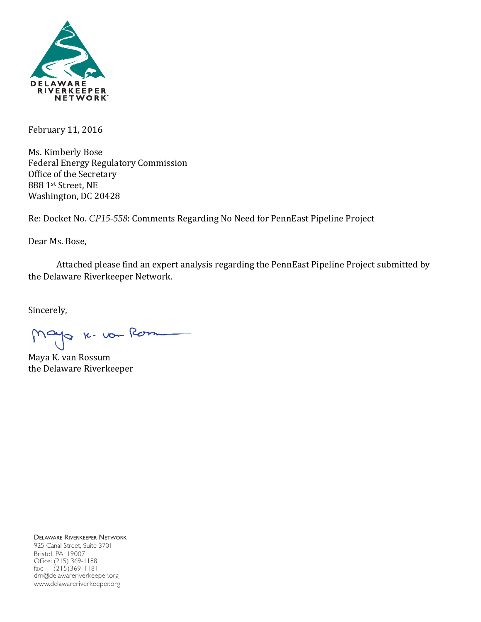

February 11, 2016

Ms. Kimberly Bose Federal Energy Regulatory Commission Office of the Secretary 888 1st Street, NE Washington, DC 20428

Re: Docket No. CP15-558: Comments Regarding No Need for PennEast Pipeline Project

Dear Ms. Bose,

Attached please find an expert analysis regarding the PennEast Pipeline Project submitted by the Delaware Riverkeeper Network.

Sincerely,

Mayo 16. von Rom

Maya K. van Rossum the Delaware Riverkeeper

DELAWARE RIVERKEEPER NETWORK 925 Canal Street, Suite 3701 Bristol, PA 19007 Office: (215) 369-1188 fax: (215)369-1181 drn@delawareriverkeeper.org www.delawareriverkeeper.org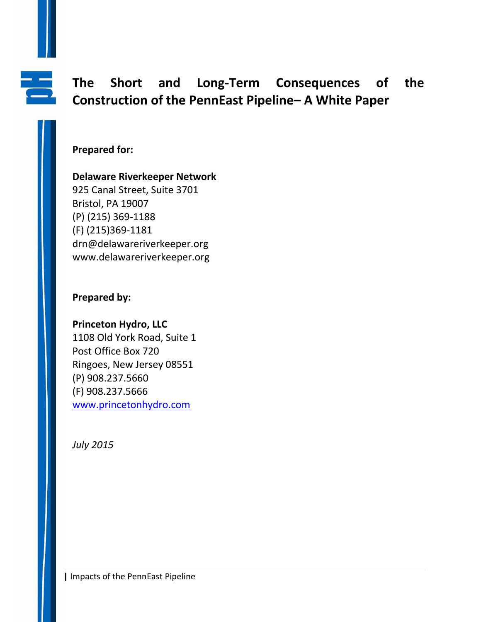

# **The Short and Long-Term Consequences of the Construction of the PennEast Pipeline– A White Paper**

# **Prepared for:**

## **Delaware Riverkeeper Network**

925 Canal Street, Suite 3701 Bristol, PA 19007 (P) (215) 369-1188 (F) (215)369-1181 drn@delawareriverkeeper.org www.delawareriverkeeper.org

# **Prepared by:**

# **Princeton Hydro, LLC**

1108 Old York Road, Suite 1 Post Office Box 720 Ringoes, New Jersey 08551 (P) 908.237.5660 (F) 908.237.5666 [www.princetonhydro.com](http://www.princetonhydro.com/)

*July 2015*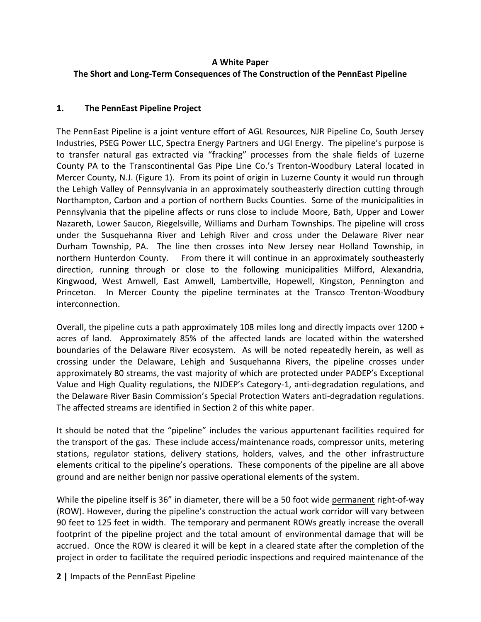#### **A White Paper**

## **The Short and Long-Term Consequences of The Construction of the PennEast Pipeline**

#### **1. The PennEast Pipeline Project**

The PennEast Pipeline is a joint venture effort of AGL Resources, NJR Pipeline Co, South Jersey Industries, PSEG Power LLC, Spectra Energy Partners and UGI Energy. The pipeline's purpose is to transfer natural gas extracted via "fracking" processes from the shale fields of Luzerne County PA to the Transcontinental Gas Pipe Line Co.'s Trenton-Woodbury Lateral located in Mercer County, N.J. (Figure 1). From its point of origin in Luzerne County it would run through the Lehigh Valley of Pennsylvania in an approximately southeasterly direction cutting through Northampton, Carbon and a portion of northern Bucks Counties. Some of the municipalities in Pennsylvania that the pipeline affects or runs close to include Moore, Bath, Upper and Lower Nazareth, Lower Saucon, Riegelsville, Williams and Durham Townships. The pipeline will cross under the Susquehanna River and Lehigh River and cross under the Delaware River near Durham Township, PA. The line then crosses into New Jersey near Holland Township, in northern Hunterdon County. From there it will continue in an approximately southeasterly direction, running through or close to the following municipalities Milford, Alexandria, Kingwood, West Amwell, East Amwell, Lambertville, Hopewell, Kingston, Pennington and Princeton. In Mercer County the pipeline terminates at the Transco Trenton-Woodbury interconnection.

Overall, the pipeline cuts a path approximately 108 miles long and directly impacts over 1200 + acres of land. Approximately 85% of the affected lands are located within the watershed boundaries of the Delaware River ecosystem. As will be noted repeatedly herein, as well as crossing under the Delaware, Lehigh and Susquehanna Rivers, the pipeline crosses under approximately 80 streams, the vast majority of which are protected under PADEP's Exceptional Value and High Quality regulations, the NJDEP's Category-1, anti-degradation regulations, and the Delaware River Basin Commission's Special Protection Waters anti-degradation regulations. The affected streams are identified in Section 2 of this white paper.

It should be noted that the "pipeline" includes the various appurtenant facilities required for the transport of the gas. These include access/maintenance roads, compressor units, metering stations, regulator stations, delivery stations, holders, valves, and the other infrastructure elements critical to the pipeline's operations. These components of the pipeline are all above ground and are neither benign nor passive operational elements of the system.

While the pipeline itself is 36" in diameter, there will be a 50 foot wide permanent right-of-way (ROW). However, during the pipeline's construction the actual work corridor will vary between 90 feet to 125 feet in width. The temporary and permanent ROWs greatly increase the overall footprint of the pipeline project and the total amount of environmental damage that will be accrued. Once the ROW is cleared it will be kept in a cleared state after the completion of the project in order to facilitate the required periodic inspections and required maintenance of the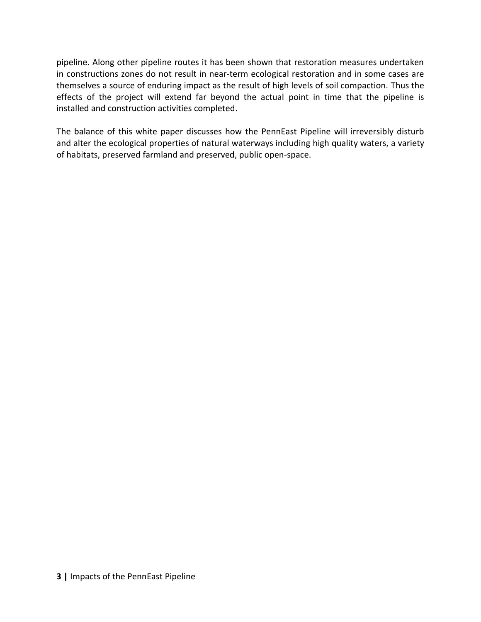pipeline. Along other pipeline routes it has been shown that restoration measures undertaken in constructions zones do not result in near-term ecological restoration and in some cases are themselves a source of enduring impact as the result of high levels of soil compaction. Thus the effects of the project will extend far beyond the actual point in time that the pipeline is installed and construction activities completed.

The balance of this white paper discusses how the PennEast Pipeline will irreversibly disturb and alter the ecological properties of natural waterways including high quality waters, a variety of habitats, preserved farmland and preserved, public open-space.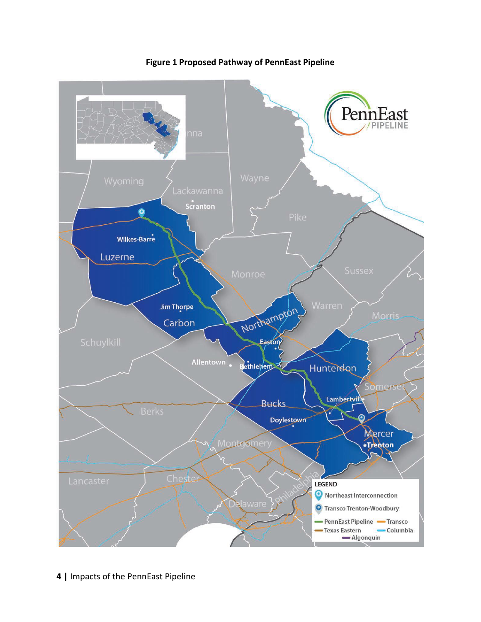

**Figure 1 Proposed Pathway of PennEast Pipeline**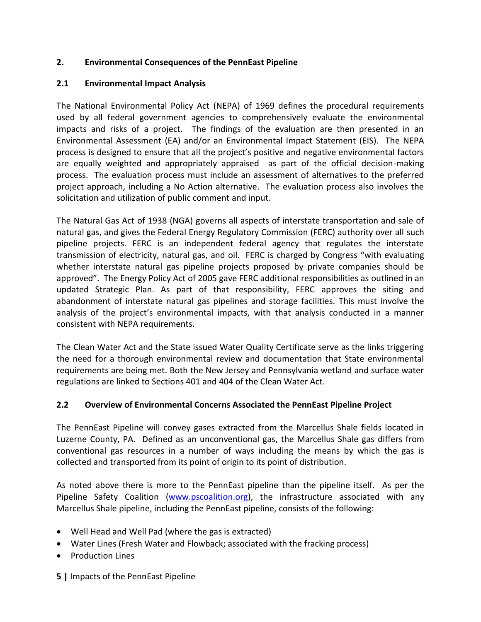#### **2. Environmental Consequences of the PennEast Pipeline**

#### **2.1 Environmental Impact Analysis**

The National Environmental Policy Act (NEPA) of 1969 defines the procedural requirements used by all federal government agencies to comprehensively evaluate the environmental impacts and risks of a project. The findings of the evaluation are then presented in an Environmental Assessment (EA) and/or an Environmental Impact Statement (EIS). The NEPA process is designed to ensure that all the project's positive and negative environmental factors are equally weighted and appropriately appraised as part of the official decision-making process. The evaluation process must include an assessment of alternatives to the preferred project approach, including a No Action alternative. The evaluation process also involves the solicitation and utilization of public comment and input.

The Natural Gas Act of 1938 (NGA) governs all aspects of interstate transportation and sale of natural gas, and gives the Federal Energy Regulatory Commission (FERC) authority over all such pipeline projects. FERC is an independent federal agency that regulates the interstate transmission of electricity, natural gas, and oil. FERC is charged by Congress "with evaluating whether interstate natural gas pipeline projects proposed by private companies should be approved". The Energy Policy Act of 2005 gave FERC additional responsibilities as outlined in an updated Strategic Plan. As part of that responsibility, FERC approves the siting and abandonment of interstate natural gas pipelines and storage facilities. This must involve the analysis of the project's environmental impacts, with that analysis conducted in a manner consistent with NEPA requirements.

The Clean Water Act and the State issued Water Quality Certificate serve as the links triggering the need for a thorough environmental review and documentation that State environmental requirements are being met. Both the New Jersey and Pennsylvania wetland and surface water regulations are linked to Sections 401 and 404 of the Clean Water Act.

#### **2.2 Overview of Environmental Concerns Associated the PennEast Pipeline Project**

The PennEast Pipeline will convey gases extracted from the Marcellus Shale fields located in Luzerne County, PA. Defined as an unconventional gas, the Marcellus Shale gas differs from conventional gas resources in a number of ways including the means by which the gas is collected and transported from its point of origin to its point of distribution.

As noted above there is more to the PennEast pipeline than the pipeline itself. As per the Pipeline Safety Coalition [\(www.pscoalition.org\)](http://www.pscoalition.org/), the infrastructure associated with any Marcellus Shale pipeline, including the PennEast pipeline, consists of the following:

- Well Head and Well Pad (where the gas is extracted)
- Water Lines (Fresh Water and Flowback; associated with the fracking process)
- Production Lines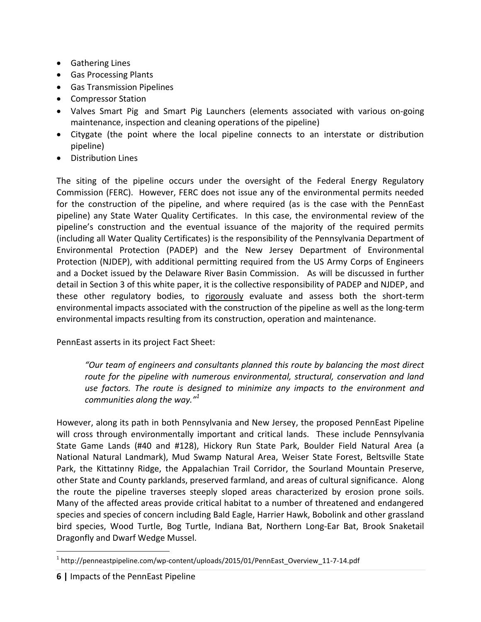- Gathering Lines
- Gas Processing Plants
- Gas Transmission Pipelines
- Compressor Station
- Valves Smart Pig and Smart Pig Launchers (elements associated with various on-going maintenance, inspection and cleaning operations of the pipeline)
- Citygate (the point where the local pipeline connects to an interstate or distribution pipeline)
- Distribution Lines

The siting of the pipeline occurs under the oversight of the Federal Energy Regulatory Commission (FERC). However, FERC does not issue any of the environmental permits needed for the construction of the pipeline, and where required (as is the case with the PennEast pipeline) any State Water Quality Certificates. In this case, the environmental review of the pipeline's construction and the eventual issuance of the majority of the required permits (including all Water Quality Certificates) is the responsibility of the Pennsylvania Department of Environmental Protection (PADEP) and the New Jersey Department of Environmental Protection (NJDEP), with additional permitting required from the US Army Corps of Engineers and a Docket issued by the Delaware River Basin Commission. As will be discussed in further detail in Section 3 of this white paper, it is the collective responsibility of PADEP and NJDEP, and these other regulatory bodies, to rigorously evaluate and assess both the short-term environmental impacts associated with the construction of the pipeline as well as the long-term environmental impacts resulting from its construction, operation and maintenance.

PennEast asserts in its project Fact Sheet:

*"Our team of engineers and consultants planned this route by balancing the most direct route for the pipeline with numerous environmental, structural, conservation and land use factors. The route is designed to minimize any impacts to the environment and communities along the way." 1*

However, along its path in both Pennsylvania and New Jersey, the proposed PennEast Pipeline will cross through environmentally important and critical lands. These include Pennsylvania State Game Lands (#40 and #128), Hickory Run State Park, Boulder Field Natural Area (a National Natural Landmark), Mud Swamp Natural Area, Weiser State Forest, Beltsville State Park, the Kittatinny Ridge, the Appalachian Trail Corridor, the Sourland Mountain Preserve, other State and County parklands, preserved farmland, and areas of cultural significance. Along the route the pipeline traverses steeply sloped areas characterized by erosion prone soils. Many of the affected areas provide critical habitat to a number of threatened and endangered species and species of concern including Bald Eagle, Harrier Hawk, Bobolink and other grassland bird species, Wood Turtle, Bog Turtle, Indiana Bat, Northern Long-Ear Bat, Brook Snaketail Dragonfly and Dwarf Wedge Mussel.

 $\overline{a}$ <sup>1</sup> http://penneastpipeline.com/wp-content/uploads/2015/01/PennEast\_Overview\_11-7-14.pdf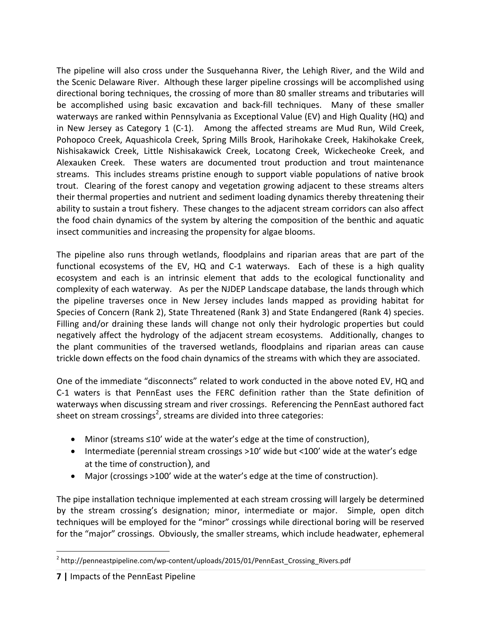The pipeline will also cross under the Susquehanna River, the Lehigh River, and the Wild and the Scenic Delaware River. Although these larger pipeline crossings will be accomplished using directional boring techniques, the crossing of more than 80 smaller streams and tributaries will be accomplished using basic excavation and back-fill techniques. Many of these smaller waterways are ranked within Pennsylvania as Exceptional Value (EV) and High Quality (HQ) and in New Jersey as Category 1 (C-1). Among the affected streams are Mud Run, Wild Creek, Pohopoco Creek, Aquashicola Creek, Spring Mills Brook, Harihokake Creek, Hakihokake Creek, Nishisakawick Creek, Little Nishisakawick Creek, Locatong Creek, Wickecheoke Creek, and Alexauken Creek. These waters are documented trout production and trout maintenance streams. This includes streams pristine enough to support viable populations of native brook trout. Clearing of the forest canopy and vegetation growing adjacent to these streams alters their thermal properties and nutrient and sediment loading dynamics thereby threatening their ability to sustain a trout fishery. These changes to the adjacent stream corridors can also affect the food chain dynamics of the system by altering the composition of the benthic and aquatic insect communities and increasing the propensity for algae blooms.

The pipeline also runs through wetlands, floodplains and riparian areas that are part of the functional ecosystems of the EV, HQ and C-1 waterways. Each of these is a high quality ecosystem and each is an intrinsic element that adds to the ecological functionality and complexity of each waterway. As per the NJDEP Landscape database, the lands through which the pipeline traverses once in New Jersey includes lands mapped as providing habitat for Species of Concern (Rank 2), State Threatened (Rank 3) and State Endangered (Rank 4) species. Filling and/or draining these lands will change not only their hydrologic properties but could negatively affect the hydrology of the adjacent stream ecosystems. Additionally, changes to the plant communities of the traversed wetlands, floodplains and riparian areas can cause trickle down effects on the food chain dynamics of the streams with which they are associated.

One of the immediate "disconnects" related to work conducted in the above noted EV, HQ and C-1 waters is that PennEast uses the FERC definition rather than the State definition of waterways when discussing stream and river crossings. Referencing the PennEast authored fact sheet on stream crossings<sup>2</sup>, streams are divided into three categories:

- Minor (streams ≤10' wide at the water's edge at the time of construction),
- Intermediate (perennial stream crossings >10' wide but <100' wide at the water's edge at the time of construction), and
- Major (crossings >100' wide at the water's edge at the time of construction).

The pipe installation technique implemented at each stream crossing will largely be determined by the stream crossing's designation; minor, intermediate or major. Simple, open ditch techniques will be employed for the "minor" crossings while directional boring will be reserved for the "major" crossings. Obviously, the smaller streams, which include headwater, ephemeral

 $\overline{a}$ <sup>2</sup> http://penneastpipeline.com/wp-content/uploads/2015/01/PennEast\_Crossing\_Rivers.pdf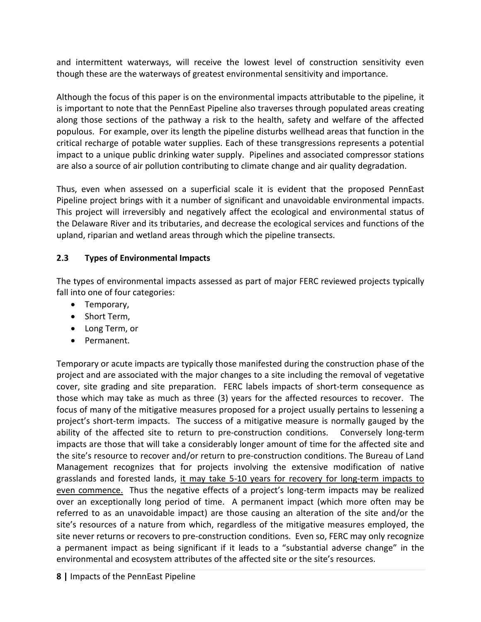and intermittent waterways, will receive the lowest level of construction sensitivity even though these are the waterways of greatest environmental sensitivity and importance.

Although the focus of this paper is on the environmental impacts attributable to the pipeline, it is important to note that the PennEast Pipeline also traverses through populated areas creating along those sections of the pathway a risk to the health, safety and welfare of the affected populous. For example, over its length the pipeline disturbs wellhead areas that function in the critical recharge of potable water supplies. Each of these transgressions represents a potential impact to a unique public drinking water supply. Pipelines and associated compressor stations are also a source of air pollution contributing to climate change and air quality degradation.

Thus, even when assessed on a superficial scale it is evident that the proposed PennEast Pipeline project brings with it a number of significant and unavoidable environmental impacts. This project will irreversibly and negatively affect the ecological and environmental status of the Delaware River and its tributaries, and decrease the ecological services and functions of the upland, riparian and wetland areas through which the pipeline transects.

#### **2.3 Types of Environmental Impacts**

The types of environmental impacts assessed as part of major FERC reviewed projects typically fall into one of four categories:

- Temporary,
- Short Term,
- Long Term, or
- Permanent.

Temporary or acute impacts are typically those manifested during the construction phase of the project and are associated with the major changes to a site including the removal of vegetative cover, site grading and site preparation. FERC labels impacts of short-term consequence as those which may take as much as three (3) years for the affected resources to recover. The focus of many of the mitigative measures proposed for a project usually pertains to lessening a project's short-term impacts. The success of a mitigative measure is normally gauged by the ability of the affected site to return to pre-construction conditions. Conversely long-term impacts are those that will take a considerably longer amount of time for the affected site and the site's resource to recover and/or return to pre-construction conditions. The Bureau of Land Management recognizes that for projects involving the extensive modification of native grasslands and forested lands, it may take 5-10 years for recovery for long-term impacts to even commence. Thus the negative effects of a project's long-term impacts may be realized over an exceptionally long period of time. A permanent impact (which more often may be referred to as an unavoidable impact) are those causing an alteration of the site and/or the site's resources of a nature from which, regardless of the mitigative measures employed, the site never returns or recovers to pre-construction conditions. Even so, FERC may only recognize a permanent impact as being significant if it leads to a "substantial adverse change" in the environmental and ecosystem attributes of the affected site or the site's resources.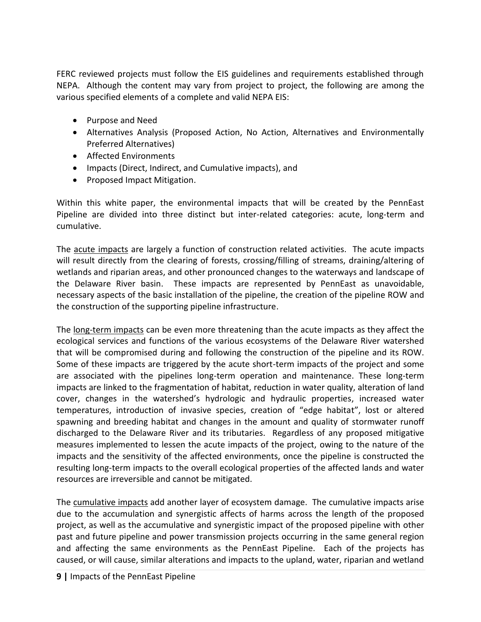FERC reviewed projects must follow the EIS guidelines and requirements established through NEPA. Although the content may vary from project to project, the following are among the various specified elements of a complete and valid NEPA EIS:

- Purpose and Need
- Alternatives Analysis (Proposed Action, No Action, Alternatives and Environmentally Preferred Alternatives)
- Affected Environments
- Impacts (Direct, Indirect, and Cumulative impacts), and
- Proposed Impact Mitigation.

Within this white paper, the environmental impacts that will be created by the PennEast Pipeline are divided into three distinct but inter-related categories: acute, long-term and cumulative.

The acute impacts are largely a function of construction related activities. The acute impacts will result directly from the clearing of forests, crossing/filling of streams, draining/altering of wetlands and riparian areas, and other pronounced changes to the waterways and landscape of the Delaware River basin. These impacts are represented by PennEast as unavoidable, necessary aspects of the basic installation of the pipeline, the creation of the pipeline ROW and the construction of the supporting pipeline infrastructure.

The long-term impacts can be even more threatening than the acute impacts as they affect the ecological services and functions of the various ecosystems of the Delaware River watershed that will be compromised during and following the construction of the pipeline and its ROW. Some of these impacts are triggered by the acute short-term impacts of the project and some are associated with the pipelines long-term operation and maintenance. These long-term impacts are linked to the fragmentation of habitat, reduction in water quality, alteration of land cover, changes in the watershed's hydrologic and hydraulic properties, increased water temperatures, introduction of invasive species, creation of "edge habitat", lost or altered spawning and breeding habitat and changes in the amount and quality of stormwater runoff discharged to the Delaware River and its tributaries. Regardless of any proposed mitigative measures implemented to lessen the acute impacts of the project, owing to the nature of the impacts and the sensitivity of the affected environments, once the pipeline is constructed the resulting long-term impacts to the overall ecological properties of the affected lands and water resources are irreversible and cannot be mitigated.

The cumulative impacts add another layer of ecosystem damage. The cumulative impacts arise due to the accumulation and synergistic affects of harms across the length of the proposed project, as well as the accumulative and synergistic impact of the proposed pipeline with other past and future pipeline and power transmission projects occurring in the same general region and affecting the same environments as the PennEast Pipeline. Each of the projects has caused, or will cause, similar alterations and impacts to the upland, water, riparian and wetland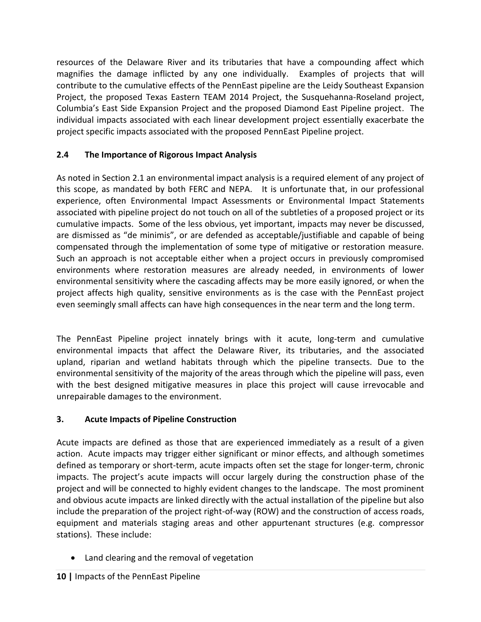resources of the Delaware River and its tributaries that have a compounding affect which magnifies the damage inflicted by any one individually. Examples of projects that will contribute to the cumulative effects of the PennEast pipeline are the Leidy Southeast Expansion Project, the proposed Texas Eastern TEAM 2014 Project, the Susquehanna-Roseland project, Columbia's East Side Expansion Project and the proposed Diamond East Pipeline project. The individual impacts associated with each linear development project essentially exacerbate the project specific impacts associated with the proposed PennEast Pipeline project.

# **2.4 The Importance of Rigorous Impact Analysis**

As noted in Section 2.1 an environmental impact analysis is a required element of any project of this scope, as mandated by both FERC and NEPA. It is unfortunate that, in our professional experience, often Environmental Impact Assessments or Environmental Impact Statements associated with pipeline project do not touch on all of the subtleties of a proposed project or its cumulative impacts. Some of the less obvious, yet important, impacts may never be discussed, are dismissed as "de minimis", or are defended as acceptable/justifiable and capable of being compensated through the implementation of some type of mitigative or restoration measure. Such an approach is not acceptable either when a project occurs in previously compromised environments where restoration measures are already needed, in environments of lower environmental sensitivity where the cascading affects may be more easily ignored, or when the project affects high quality, sensitive environments as is the case with the PennEast project even seemingly small affects can have high consequences in the near term and the long term.

The PennEast Pipeline project innately brings with it acute, long-term and cumulative environmental impacts that affect the Delaware River, its tributaries, and the associated upland, riparian and wetland habitats through which the pipeline transects. Due to the environmental sensitivity of the majority of the areas through which the pipeline will pass, even with the best designed mitigative measures in place this project will cause irrevocable and unrepairable damages to the environment.

## **3. Acute Impacts of Pipeline Construction**

Acute impacts are defined as those that are experienced immediately as a result of a given action. Acute impacts may trigger either significant or minor effects, and although sometimes defined as temporary or short-term, acute impacts often set the stage for longer-term, chronic impacts. The project's acute impacts will occur largely during the construction phase of the project and will be connected to highly evident changes to the landscape. The most prominent and obvious acute impacts are linked directly with the actual installation of the pipeline but also include the preparation of the project right-of-way (ROW) and the construction of access roads, equipment and materials staging areas and other appurtenant structures (e.g. compressor stations). These include:

Land clearing and the removal of vegetation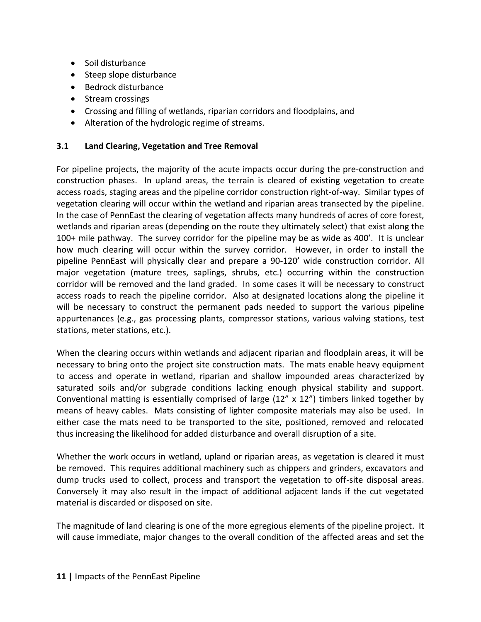- Soil disturbance
- Steep slope disturbance
- Bedrock disturbance
- Stream crossings
- Crossing and filling of wetlands, riparian corridors and floodplains, and
- Alteration of the hydrologic regime of streams.

## **3.1 Land Clearing, Vegetation and Tree Removal**

For pipeline projects, the majority of the acute impacts occur during the pre-construction and construction phases. In upland areas, the terrain is cleared of existing vegetation to create access roads, staging areas and the pipeline corridor construction right-of-way. Similar types of vegetation clearing will occur within the wetland and riparian areas transected by the pipeline. In the case of PennEast the clearing of vegetation affects many hundreds of acres of core forest, wetlands and riparian areas (depending on the route they ultimately select) that exist along the 100+ mile pathway. The survey corridor for the pipeline may be as wide as 400'. It is unclear how much clearing will occur within the survey corridor. However, in order to install the pipeline PennEast will physically clear and prepare a 90-120' wide construction corridor. All major vegetation (mature trees, saplings, shrubs, etc.) occurring within the construction corridor will be removed and the land graded. In some cases it will be necessary to construct access roads to reach the pipeline corridor. Also at designated locations along the pipeline it will be necessary to construct the permanent pads needed to support the various pipeline appurtenances (e.g., gas processing plants, compressor stations, various valving stations, test stations, meter stations, etc.).

When the clearing occurs within wetlands and adjacent riparian and floodplain areas, it will be necessary to bring onto the project site construction mats. The mats enable heavy equipment to access and operate in wetland, riparian and shallow impounded areas characterized by saturated soils and/or subgrade conditions lacking enough physical stability and support. Conventional matting is essentially comprised of large  $(12'' \times 12'')$  timbers linked together by means of heavy cables. Mats consisting of lighter composite materials may also be used. In either case the mats need to be transported to the site, positioned, removed and relocated thus increasing the likelihood for added disturbance and overall disruption of a site.

Whether the work occurs in wetland, upland or riparian areas, as vegetation is cleared it must be removed. This requires additional machinery such as chippers and grinders, excavators and dump trucks used to collect, process and transport the vegetation to off-site disposal areas. Conversely it may also result in the impact of additional adjacent lands if the cut vegetated material is discarded or disposed on site.

The magnitude of land clearing is one of the more egregious elements of the pipeline project. It will cause immediate, major changes to the overall condition of the affected areas and set the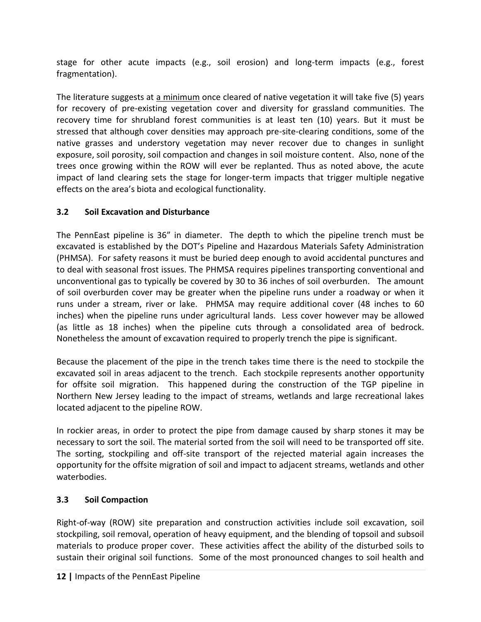stage for other acute impacts (e.g., soil erosion) and long-term impacts (e.g., forest fragmentation).

The literature suggests at a minimum once cleared of native vegetation it will take five (5) years for recovery of pre-existing vegetation cover and diversity for grassland communities. The recovery time for shrubland forest communities is at least ten (10) years. But it must be stressed that although cover densities may approach pre-site-clearing conditions, some of the native grasses and understory vegetation may never recover due to changes in sunlight exposure, soil porosity, soil compaction and changes in soil moisture content. Also, none of the trees once growing within the ROW will ever be replanted. Thus as noted above, the acute impact of land clearing sets the stage for longer-term impacts that trigger multiple negative effects on the area's biota and ecological functionality.

## **3.2 Soil Excavation and Disturbance**

The PennEast pipeline is 36" in diameter. The depth to which the pipeline trench must be excavated is established by the DOT's Pipeline and Hazardous Materials Safety Administration (PHMSA). For safety reasons it must be buried deep enough to avoid accidental punctures and to deal with seasonal frost issues. The PHMSA requires pipelines transporting conventional and unconventional gas to typically be covered by 30 to 36 inches of soil overburden. The amount of soil overburden cover may be greater when the pipeline runs under a roadway or when it runs under a stream, river or lake. PHMSA may require additional cover (48 inches to 60 inches) when the pipeline runs under agricultural lands. Less cover however may be allowed (as little as 18 inches) when the pipeline cuts through a consolidated area of bedrock. Nonetheless the amount of excavation required to properly trench the pipe is significant.

Because the placement of the pipe in the trench takes time there is the need to stockpile the excavated soil in areas adjacent to the trench. Each stockpile represents another opportunity for offsite soil migration. This happened during the construction of the TGP pipeline in Northern New Jersey leading to the impact of streams, wetlands and large recreational lakes located adjacent to the pipeline ROW.

In rockier areas, in order to protect the pipe from damage caused by sharp stones it may be necessary to sort the soil. The material sorted from the soil will need to be transported off site. The sorting, stockpiling and off-site transport of the rejected material again increases the opportunity for the offsite migration of soil and impact to adjacent streams, wetlands and other waterbodies.

## **3.3 Soil Compaction**

Right-of-way (ROW) site preparation and construction activities include soil excavation, soil stockpiling, soil removal, operation of heavy equipment, and the blending of topsoil and subsoil materials to produce proper cover. These activities affect the ability of the disturbed soils to sustain their original soil functions. Some of the most pronounced changes to soil health and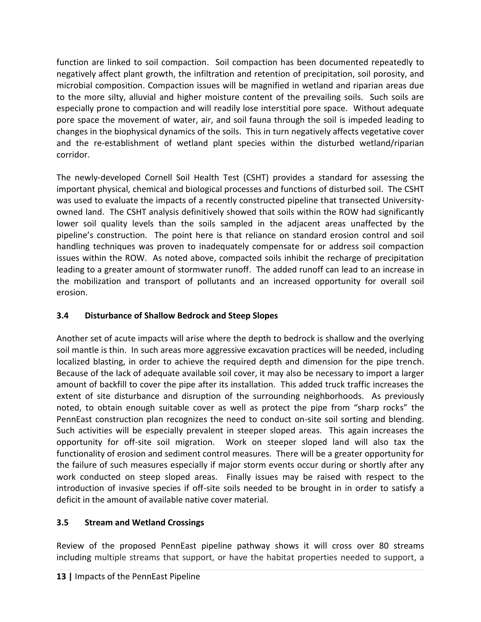function are linked to soil compaction. Soil compaction has been documented repeatedly to negatively affect plant growth, the infiltration and retention of precipitation, soil porosity, and microbial composition. Compaction issues will be magnified in wetland and riparian areas due to the more silty, alluvial and higher moisture content of the prevailing soils. Such soils are especially prone to compaction and will readily lose interstitial pore space. Without adequate pore space the movement of water, air, and soil fauna through the soil is impeded leading to changes in the biophysical dynamics of the soils. This in turn negatively affects vegetative cover and the re-establishment of wetland plant species within the disturbed wetland/riparian corridor.

The newly-developed Cornell Soil Health Test (CSHT) provides a standard for assessing the important physical, chemical and biological processes and functions of disturbed soil. The CSHT was used to evaluate the impacts of a recently constructed pipeline that transected Universityowned land. The CSHT analysis definitively showed that soils within the ROW had significantly lower soil quality levels than the soils sampled in the adjacent areas unaffected by the pipeline's construction. The point here is that reliance on standard erosion control and soil handling techniques was proven to inadequately compensate for or address soil compaction issues within the ROW. As noted above, compacted soils inhibit the recharge of precipitation leading to a greater amount of stormwater runoff. The added runoff can lead to an increase in the mobilization and transport of pollutants and an increased opportunity for overall soil erosion.

## **3.4 Disturbance of Shallow Bedrock and Steep Slopes**

Another set of acute impacts will arise where the depth to bedrock is shallow and the overlying soil mantle is thin. In such areas more aggressive excavation practices will be needed, including localized blasting, in order to achieve the required depth and dimension for the pipe trench. Because of the lack of adequate available soil cover, it may also be necessary to import a larger amount of backfill to cover the pipe after its installation. This added truck traffic increases the extent of site disturbance and disruption of the surrounding neighborhoods. As previously noted, to obtain enough suitable cover as well as protect the pipe from "sharp rocks" the PennEast construction plan recognizes the need to conduct on-site soil sorting and blending. Such activities will be especially prevalent in steeper sloped areas. This again increases the opportunity for off-site soil migration. Work on steeper sloped land will also tax the functionality of erosion and sediment control measures. There will be a greater opportunity for the failure of such measures especially if major storm events occur during or shortly after any work conducted on steep sloped areas. Finally issues may be raised with respect to the introduction of invasive species if off-site soils needed to be brought in in order to satisfy a deficit in the amount of available native cover material.

## **3.5 Stream and Wetland Crossings**

Review of the proposed PennEast pipeline pathway shows it will cross over 80 streams including multiple streams that support, or have the habitat properties needed to support, a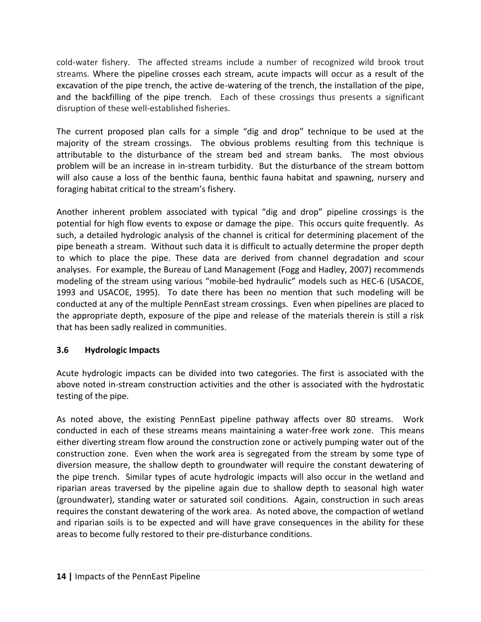cold-water fishery. The affected streams include a number of recognized wild brook trout streams. Where the pipeline crosses each stream, acute impacts will occur as a result of the excavation of the pipe trench, the active de-watering of the trench, the installation of the pipe, and the backfilling of the pipe trench. Each of these crossings thus presents a significant disruption of these well-established fisheries.

The current proposed plan calls for a simple "dig and drop" technique to be used at the majority of the stream crossings. The obvious problems resulting from this technique is attributable to the disturbance of the stream bed and stream banks. The most obvious problem will be an increase in in-stream turbidity. But the disturbance of the stream bottom will also cause a loss of the benthic fauna, benthic fauna habitat and spawning, nursery and foraging habitat critical to the stream's fishery.

Another inherent problem associated with typical "dig and drop" pipeline crossings is the potential for high flow events to expose or damage the pipe. This occurs quite frequently. As such, a detailed hydrologic analysis of the channel is critical for determining placement of the pipe beneath a stream. Without such data it is difficult to actually determine the proper depth to which to place the pipe. These data are derived from channel degradation and scour analyses. For example, the Bureau of Land Management (Fogg and Hadley, 2007) recommends modeling of the stream using various "mobile-bed hydraulic" models such as HEC-6 (USACOE, 1993 and USACOE, 1995). To date there has been no mention that such modeling will be conducted at any of the multiple PennEast stream crossings. Even when pipelines are placed to the appropriate depth, exposure of the pipe and release of the materials therein is still a risk that has been sadly realized in communities.

#### **3.6 Hydrologic Impacts**

Acute hydrologic impacts can be divided into two categories. The first is associated with the above noted in-stream construction activities and the other is associated with the hydrostatic testing of the pipe.

As noted above, the existing PennEast pipeline pathway affects over 80 streams. Work conducted in each of these streams means maintaining a water-free work zone. This means either diverting stream flow around the construction zone or actively pumping water out of the construction zone. Even when the work area is segregated from the stream by some type of diversion measure, the shallow depth to groundwater will require the constant dewatering of the pipe trench. Similar types of acute hydrologic impacts will also occur in the wetland and riparian areas traversed by the pipeline again due to shallow depth to seasonal high water (groundwater), standing water or saturated soil conditions. Again, construction in such areas requires the constant dewatering of the work area. As noted above, the compaction of wetland and riparian soils is to be expected and will have grave consequences in the ability for these areas to become fully restored to their pre-disturbance conditions.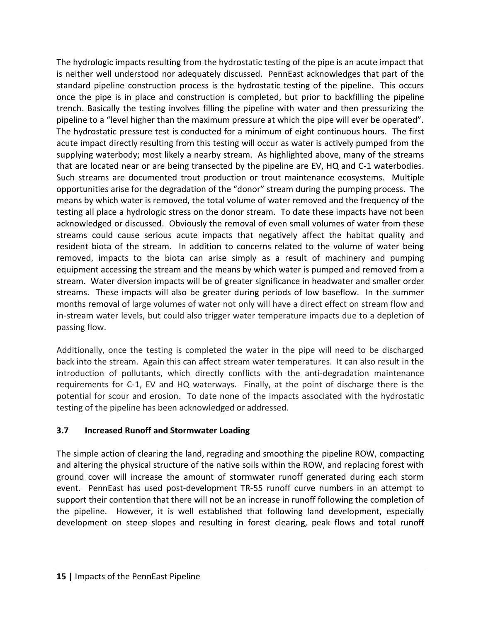The hydrologic impacts resulting from the hydrostatic testing of the pipe is an acute impact that is neither well understood nor adequately discussed. PennEast acknowledges that part of the standard pipeline construction process is the hydrostatic testing of the pipeline. This occurs once the pipe is in place and construction is completed, but prior to backfilling the pipeline trench. Basically the testing involves filling the pipeline with water and then pressurizing the pipeline to a "level higher than the maximum pressure at which the pipe will ever be operated". The hydrostatic pressure test is conducted for a minimum of eight continuous hours. The first acute impact directly resulting from this testing will occur as water is actively pumped from the supplying waterbody; most likely a nearby stream. As highlighted above, many of the streams that are located near or are being transected by the pipeline are EV, HQ and C-1 waterbodies. Such streams are documented trout production or trout maintenance ecosystems. Multiple opportunities arise for the degradation of the "donor" stream during the pumping process. The means by which water is removed, the total volume of water removed and the frequency of the testing all place a hydrologic stress on the donor stream. To date these impacts have not been acknowledged or discussed. Obviously the removal of even small volumes of water from these streams could cause serious acute impacts that negatively affect the habitat quality and resident biota of the stream. In addition to concerns related to the volume of water being removed, impacts to the biota can arise simply as a result of machinery and pumping equipment accessing the stream and the means by which water is pumped and removed from a stream. Water diversion impacts will be of greater significance in headwater and smaller order streams. These impacts will also be greater during periods of low baseflow. In the summer months removal of large volumes of water not only will have a direct effect on stream flow and in-stream water levels, but could also trigger water temperature impacts due to a depletion of passing flow.

Additionally, once the testing is completed the water in the pipe will need to be discharged back into the stream. Again this can affect stream water temperatures. It can also result in the introduction of pollutants, which directly conflicts with the anti-degradation maintenance requirements for C-1, EV and HQ waterways. Finally, at the point of discharge there is the potential for scour and erosion. To date none of the impacts associated with the hydrostatic testing of the pipeline has been acknowledged or addressed.

## **3.7 Increased Runoff and Stormwater Loading**

The simple action of clearing the land, regrading and smoothing the pipeline ROW, compacting and altering the physical structure of the native soils within the ROW, and replacing forest with ground cover will increase the amount of stormwater runoff generated during each storm event. PennEast has used post-development TR-55 runoff curve numbers in an attempt to support their contention that there will not be an increase in runoff following the completion of the pipeline. However, it is well established that following land development, especially development on steep slopes and resulting in forest clearing, peak flows and total runoff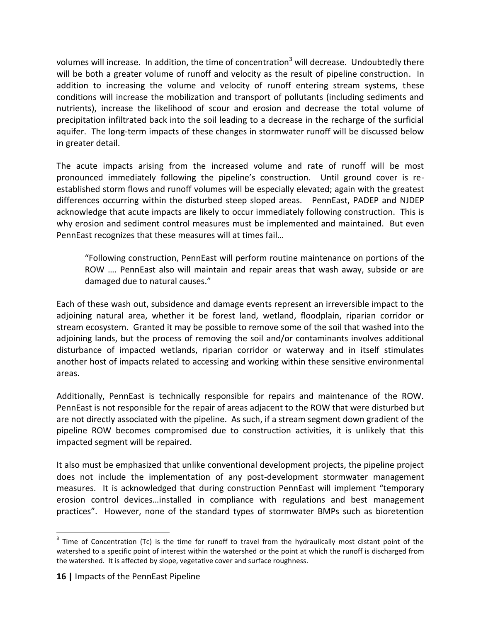volumes will increase. In addition, the time of concentration<sup>3</sup> will decrease. Undoubtedly there will be both a greater volume of runoff and velocity as the result of pipeline construction. In addition to increasing the volume and velocity of runoff entering stream systems, these conditions will increase the mobilization and transport of pollutants (including sediments and nutrients), increase the likelihood of scour and erosion and decrease the total volume of precipitation infiltrated back into the soil leading to a decrease in the recharge of the surficial aquifer. The long-term impacts of these changes in stormwater runoff will be discussed below in greater detail.

The acute impacts arising from the increased volume and rate of runoff will be most pronounced immediately following the pipeline's construction. Until ground cover is reestablished storm flows and runoff volumes will be especially elevated; again with the greatest differences occurring within the disturbed steep sloped areas. PennEast, PADEP and NJDEP acknowledge that acute impacts are likely to occur immediately following construction. This is why erosion and sediment control measures must be implemented and maintained. But even PennEast recognizes that these measures will at times fail…

"Following construction, PennEast will perform routine maintenance on portions of the ROW …. PennEast also will maintain and repair areas that wash away, subside or are damaged due to natural causes."

Each of these wash out, subsidence and damage events represent an irreversible impact to the adjoining natural area, whether it be forest land, wetland, floodplain, riparian corridor or stream ecosystem. Granted it may be possible to remove some of the soil that washed into the adjoining lands, but the process of removing the soil and/or contaminants involves additional disturbance of impacted wetlands, riparian corridor or waterway and in itself stimulates another host of impacts related to accessing and working within these sensitive environmental areas.

Additionally, PennEast is technically responsible for repairs and maintenance of the ROW. PennEast is not responsible for the repair of areas adjacent to the ROW that were disturbed but are not directly associated with the pipeline. As such, if a stream segment down gradient of the pipeline ROW becomes compromised due to construction activities, it is unlikely that this impacted segment will be repaired.

It also must be emphasized that unlike conventional development projects, the pipeline project does not include the implementation of any post-development stormwater management measures. It is acknowledged that during construction PennEast will implement "temporary erosion control devices…installed in compliance with regulations and best management practices". However, none of the standard types of stormwater BMPs such as bioretention

 $\overline{a}$ 

 $3$  Time of Concentration (Tc) is the time for runoff to travel from the hydraulically most distant point of the watershed to a specific point of interest within the watershed or the point at which the runoff is discharged from the watershed. It is affected by slope, vegetative cover and surface roughness.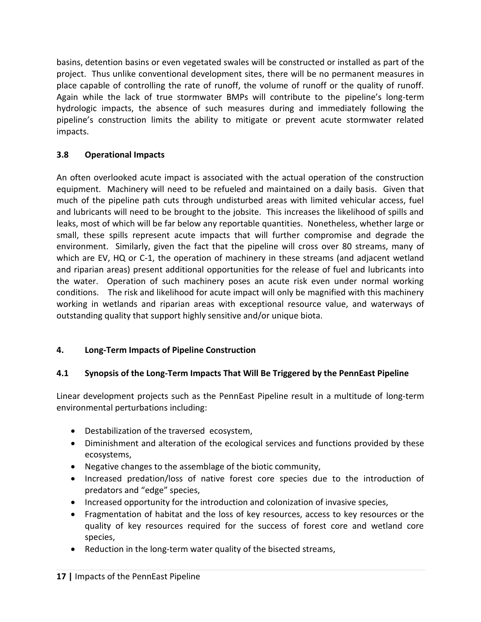basins, detention basins or even vegetated swales will be constructed or installed as part of the project. Thus unlike conventional development sites, there will be no permanent measures in place capable of controlling the rate of runoff, the volume of runoff or the quality of runoff. Again while the lack of true stormwater BMPs will contribute to the pipeline's long-term hydrologic impacts, the absence of such measures during and immediately following the pipeline's construction limits the ability to mitigate or prevent acute stormwater related impacts.

## **3.8 Operational Impacts**

An often overlooked acute impact is associated with the actual operation of the construction equipment. Machinery will need to be refueled and maintained on a daily basis. Given that much of the pipeline path cuts through undisturbed areas with limited vehicular access, fuel and lubricants will need to be brought to the jobsite. This increases the likelihood of spills and leaks, most of which will be far below any reportable quantities. Nonetheless, whether large or small, these spills represent acute impacts that will further compromise and degrade the environment. Similarly, given the fact that the pipeline will cross over 80 streams, many of which are EV, HQ or C-1, the operation of machinery in these streams (and adjacent wetland and riparian areas) present additional opportunities for the release of fuel and lubricants into the water. Operation of such machinery poses an acute risk even under normal working conditions. The risk and likelihood for acute impact will only be magnified with this machinery working in wetlands and riparian areas with exceptional resource value, and waterways of outstanding quality that support highly sensitive and/or unique biota.

## **4. Long-Term Impacts of Pipeline Construction**

## **4.1 Synopsis of the Long-Term Impacts That Will Be Triggered by the PennEast Pipeline**

Linear development projects such as the PennEast Pipeline result in a multitude of long-term environmental perturbations including:

- Destabilization of the traversed ecosystem,
- Diminishment and alteration of the ecological services and functions provided by these ecosystems,
- Negative changes to the assemblage of the biotic community,
- Increased predation/loss of native forest core species due to the introduction of predators and "edge" species,
- Increased opportunity for the introduction and colonization of invasive species,
- Fragmentation of habitat and the loss of key resources, access to key resources or the quality of key resources required for the success of forest core and wetland core species,
- Reduction in the long-term water quality of the bisected streams,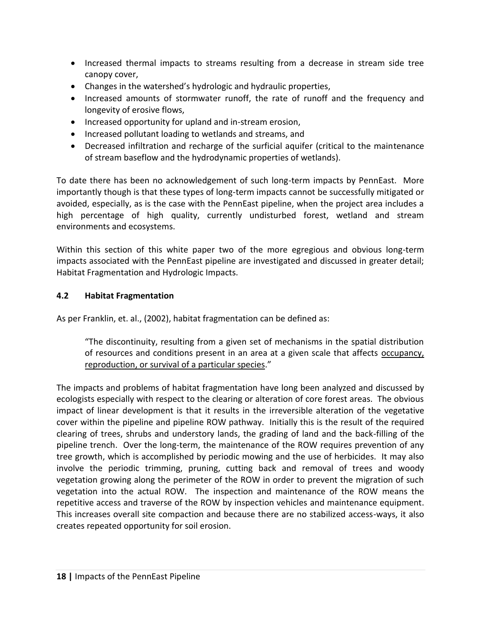- Increased thermal impacts to streams resulting from a decrease in stream side tree canopy cover,
- Changes in the watershed's hydrologic and hydraulic properties,
- Increased amounts of stormwater runoff, the rate of runoff and the frequency and longevity of erosive flows,
- Increased opportunity for upland and in-stream erosion,
- Increased pollutant loading to wetlands and streams, and
- Decreased infiltration and recharge of the surficial aquifer (critical to the maintenance of stream baseflow and the hydrodynamic properties of wetlands).

To date there has been no acknowledgement of such long-term impacts by PennEast. More importantly though is that these types of long-term impacts cannot be successfully mitigated or avoided, especially, as is the case with the PennEast pipeline, when the project area includes a high percentage of high quality, currently undisturbed forest, wetland and stream environments and ecosystems.

Within this section of this white paper two of the more egregious and obvious long-term impacts associated with the PennEast pipeline are investigated and discussed in greater detail; Habitat Fragmentation and Hydrologic Impacts.

## **4.2 Habitat Fragmentation**

As per Franklin, et. al., (2002), habitat fragmentation can be defined as:

"The discontinuity, resulting from a given set of mechanisms in the spatial distribution of resources and conditions present in an area at a given scale that affects occupancy, reproduction, or survival of a particular species."

The impacts and problems of habitat fragmentation have long been analyzed and discussed by ecologists especially with respect to the clearing or alteration of core forest areas. The obvious impact of linear development is that it results in the irreversible alteration of the vegetative cover within the pipeline and pipeline ROW pathway. Initially this is the result of the required clearing of trees, shrubs and understory lands, the grading of land and the back-filling of the pipeline trench. Over the long-term, the maintenance of the ROW requires prevention of any tree growth, which is accomplished by periodic mowing and the use of herbicides. It may also involve the periodic trimming, pruning, cutting back and removal of trees and woody vegetation growing along the perimeter of the ROW in order to prevent the migration of such vegetation into the actual ROW. The inspection and maintenance of the ROW means the repetitive access and traverse of the ROW by inspection vehicles and maintenance equipment. This increases overall site compaction and because there are no stabilized access-ways, it also creates repeated opportunity for soil erosion.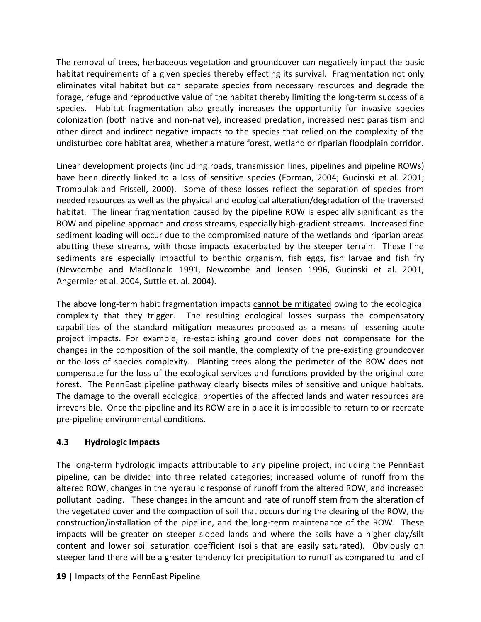The removal of trees, herbaceous vegetation and groundcover can negatively impact the basic habitat requirements of a given species thereby effecting its survival. Fragmentation not only eliminates vital habitat but can separate species from necessary resources and degrade the forage, refuge and reproductive value of the habitat thereby limiting the long-term success of a species. Habitat fragmentation also greatly increases the opportunity for invasive species colonization (both native and non-native), increased predation, increased nest parasitism and other direct and indirect negative impacts to the species that relied on the complexity of the undisturbed core habitat area, whether a mature forest, wetland or riparian floodplain corridor.

Linear development projects (including roads, transmission lines, pipelines and pipeline ROWs) have been directly linked to a loss of sensitive species (Forman, 2004; Gucinski et al. 2001; Trombulak and Frissell, 2000). Some of these losses reflect the separation of species from needed resources as well as the physical and ecological alteration/degradation of the traversed habitat. The linear fragmentation caused by the pipeline ROW is especially significant as the ROW and pipeline approach and cross streams, especially high-gradient streams. Increased fine sediment loading will occur due to the compromised nature of the wetlands and riparian areas abutting these streams, with those impacts exacerbated by the steeper terrain. These fine sediments are especially impactful to benthic organism, fish eggs, fish larvae and fish fry (Newcombe and MacDonald 1991, Newcombe and Jensen 1996, Gucinski et al. 2001, Angermier et al. 2004, Suttle et. al. 2004).

The above long-term habit fragmentation impacts cannot be mitigated owing to the ecological complexity that they trigger. The resulting ecological losses surpass the compensatory capabilities of the standard mitigation measures proposed as a means of lessening acute project impacts. For example, re-establishing ground cover does not compensate for the changes in the composition of the soil mantle, the complexity of the pre-existing groundcover or the loss of species complexity. Planting trees along the perimeter of the ROW does not compensate for the loss of the ecological services and functions provided by the original core forest. The PennEast pipeline pathway clearly bisects miles of sensitive and unique habitats. The damage to the overall ecological properties of the affected lands and water resources are irreversible. Once the pipeline and its ROW are in place it is impossible to return to or recreate pre-pipeline environmental conditions.

#### **4.3 Hydrologic Impacts**

The long-term hydrologic impacts attributable to any pipeline project, including the PennEast pipeline, can be divided into three related categories; increased volume of runoff from the altered ROW, changes in the hydraulic response of runoff from the altered ROW, and increased pollutant loading. These changes in the amount and rate of runoff stem from the alteration of the vegetated cover and the compaction of soil that occurs during the clearing of the ROW, the construction/installation of the pipeline, and the long-term maintenance of the ROW. These impacts will be greater on steeper sloped lands and where the soils have a higher clay/silt content and lower soil saturation coefficient (soils that are easily saturated). Obviously on steeper land there will be a greater tendency for precipitation to runoff as compared to land of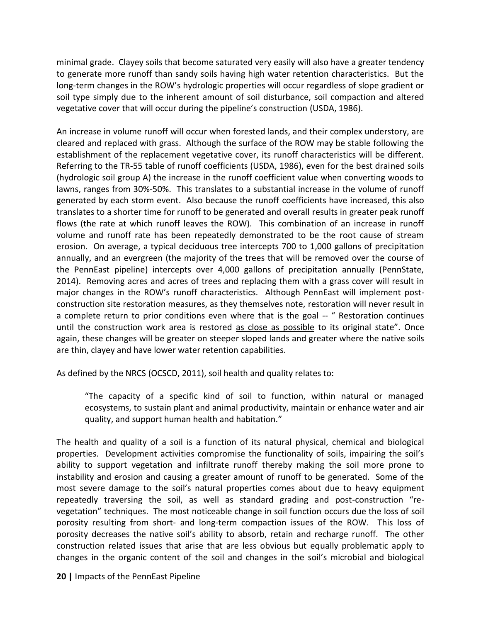minimal grade. Clayey soils that become saturated very easily will also have a greater tendency to generate more runoff than sandy soils having high water retention characteristics. But the long-term changes in the ROW's hydrologic properties will occur regardless of slope gradient or soil type simply due to the inherent amount of soil disturbance, soil compaction and altered vegetative cover that will occur during the pipeline's construction (USDA, 1986).

An increase in volume runoff will occur when forested lands, and their complex understory, are cleared and replaced with grass. Although the surface of the ROW may be stable following the establishment of the replacement vegetative cover, its runoff characteristics will be different. Referring to the TR-55 table of runoff coefficients (USDA, 1986), even for the best drained soils (hydrologic soil group A) the increase in the runoff coefficient value when converting woods to lawns, ranges from 30%-50%. This translates to a substantial increase in the volume of runoff generated by each storm event. Also because the runoff coefficients have increased, this also translates to a shorter time for runoff to be generated and overall results in greater peak runoff flows (the rate at which runoff leaves the ROW). This combination of an increase in runoff volume and runoff rate has been repeatedly demonstrated to be the root cause of stream erosion. On average, a typical deciduous tree intercepts 700 to 1,000 gallons of precipitation annually, and an evergreen (the majority of the trees that will be removed over the course of the PennEast pipeline) intercepts over 4,000 gallons of precipitation annually (PennState, 2014). Removing acres and acres of trees and replacing them with a grass cover will result in major changes in the ROW's runoff characteristics. Although PennEast will implement postconstruction site restoration measures, as they themselves note, restoration will never result in a complete return to prior conditions even where that is the goal -- " Restoration continues until the construction work area is restored as close as possible to its original state". Once again, these changes will be greater on steeper sloped lands and greater where the native soils are thin, clayey and have lower water retention capabilities.

As defined by the NRCS (OCSCD, 2011), soil health and quality relates to:

"The capacity of a specific kind of soil to function, within natural or managed ecosystems, to sustain plant and animal productivity, maintain or enhance water and air quality, and support human health and habitation."

The health and quality of a soil is a function of its natural physical, chemical and biological properties. Development activities compromise the functionality of soils, impairing the soil's ability to support vegetation and infiltrate runoff thereby making the soil more prone to instability and erosion and causing a greater amount of runoff to be generated. Some of the most severe damage to the soil's natural properties comes about due to heavy equipment repeatedly traversing the soil, as well as standard grading and post-construction "revegetation" techniques. The most noticeable change in soil function occurs due the loss of soil porosity resulting from short- and long-term compaction issues of the ROW. This loss of porosity decreases the native soil's ability to absorb, retain and recharge runoff. The other construction related issues that arise that are less obvious but equally problematic apply to changes in the organic content of the soil and changes in the soil's microbial and biological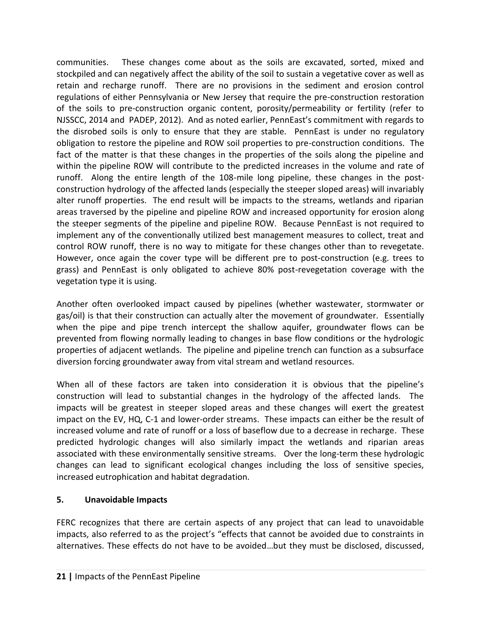communities. These changes come about as the soils are excavated, sorted, mixed and stockpiled and can negatively affect the ability of the soil to sustain a vegetative cover as well as retain and recharge runoff. There are no provisions in the sediment and erosion control regulations of either Pennsylvania or New Jersey that require the pre-construction restoration of the soils to pre-construction organic content, porosity/permeability or fertility (refer to NJSSCC, 2014 and PADEP, 2012). And as noted earlier, PennEast's commitment with regards to the disrobed soils is only to ensure that they are stable. PennEast is under no regulatory obligation to restore the pipeline and ROW soil properties to pre-construction conditions. The fact of the matter is that these changes in the properties of the soils along the pipeline and within the pipeline ROW will contribute to the predicted increases in the volume and rate of runoff. Along the entire length of the 108-mile long pipeline, these changes in the postconstruction hydrology of the affected lands (especially the steeper sloped areas) will invariably alter runoff properties. The end result will be impacts to the streams, wetlands and riparian areas traversed by the pipeline and pipeline ROW and increased opportunity for erosion along the steeper segments of the pipeline and pipeline ROW. Because PennEast is not required to implement any of the conventionally utilized best management measures to collect, treat and control ROW runoff, there is no way to mitigate for these changes other than to revegetate. However, once again the cover type will be different pre to post-construction (e.g. trees to grass) and PennEast is only obligated to achieve 80% post-revegetation coverage with the vegetation type it is using.

Another often overlooked impact caused by pipelines (whether wastewater, stormwater or gas/oil) is that their construction can actually alter the movement of groundwater. Essentially when the pipe and pipe trench intercept the shallow aquifer, groundwater flows can be prevented from flowing normally leading to changes in base flow conditions or the hydrologic properties of adjacent wetlands. The pipeline and pipeline trench can function as a subsurface diversion forcing groundwater away from vital stream and wetland resources.

When all of these factors are taken into consideration it is obvious that the pipeline's construction will lead to substantial changes in the hydrology of the affected lands. The impacts will be greatest in steeper sloped areas and these changes will exert the greatest impact on the EV, HQ, C-1 and lower-order streams. These impacts can either be the result of increased volume and rate of runoff or a loss of baseflow due to a decrease in recharge. These predicted hydrologic changes will also similarly impact the wetlands and riparian areas associated with these environmentally sensitive streams. Over the long-term these hydrologic changes can lead to significant ecological changes including the loss of sensitive species, increased eutrophication and habitat degradation.

#### **5. Unavoidable Impacts**

FERC recognizes that there are certain aspects of any project that can lead to unavoidable impacts, also referred to as the project's "effects that cannot be avoided due to constraints in alternatives. These effects do not have to be avoided…but they must be disclosed, discussed,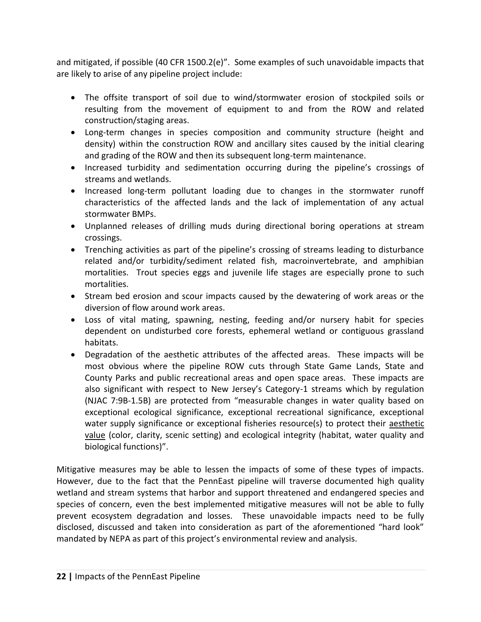and mitigated, if possible (40 CFR 1500.2(e)". Some examples of such unavoidable impacts that are likely to arise of any pipeline project include:

- The offsite transport of soil due to wind/stormwater erosion of stockpiled soils or resulting from the movement of equipment to and from the ROW and related construction/staging areas.
- Long-term changes in species composition and community structure (height and density) within the construction ROW and ancillary sites caused by the initial clearing and grading of the ROW and then its subsequent long-term maintenance.
- Increased turbidity and sedimentation occurring during the pipeline's crossings of streams and wetlands.
- Increased long-term pollutant loading due to changes in the stormwater runoff characteristics of the affected lands and the lack of implementation of any actual stormwater BMPs.
- Unplanned releases of drilling muds during directional boring operations at stream crossings.
- Trenching activities as part of the pipeline's crossing of streams leading to disturbance related and/or turbidity/sediment related fish, macroinvertebrate, and amphibian mortalities. Trout species eggs and juvenile life stages are especially prone to such mortalities.
- Stream bed erosion and scour impacts caused by the dewatering of work areas or the diversion of flow around work areas.
- Loss of vital mating, spawning, nesting, feeding and/or nursery habit for species dependent on undisturbed core forests, ephemeral wetland or contiguous grassland habitats.
- Degradation of the aesthetic attributes of the affected areas. These impacts will be most obvious where the pipeline ROW cuts through State Game Lands, State and County Parks and public recreational areas and open space areas. These impacts are also significant with respect to New Jersey's Category-1 streams which by regulation (NJAC 7:9B-1.5B) are protected from "measurable changes in water quality based on exceptional ecological significance, exceptional recreational significance, exceptional water supply significance or exceptional fisheries resource(s) to protect their aesthetic value (color, clarity, scenic setting) and ecological integrity (habitat, water quality and biological functions)".

Mitigative measures may be able to lessen the impacts of some of these types of impacts. However, due to the fact that the PennEast pipeline will traverse documented high quality wetland and stream systems that harbor and support threatened and endangered species and species of concern, even the best implemented mitigative measures will not be able to fully prevent ecosystem degradation and losses. These unavoidable impacts need to be fully disclosed, discussed and taken into consideration as part of the aforementioned "hard look" mandated by NEPA as part of this project's environmental review and analysis.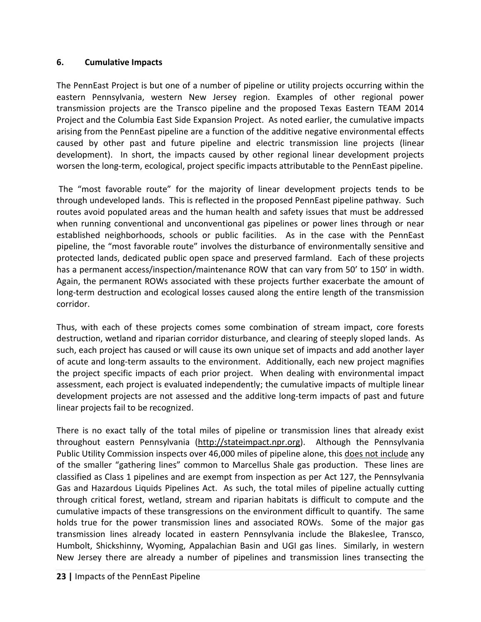#### **6. Cumulative Impacts**

The PennEast Project is but one of a number of pipeline or utility projects occurring within the eastern Pennsylvania, western New Jersey region. Examples of other regional power transmission projects are the Transco pipeline and the proposed Texas Eastern TEAM 2014 Project and the Columbia East Side Expansion Project. As noted earlier, the cumulative impacts arising from the PennEast pipeline are a function of the additive negative environmental effects caused by other past and future pipeline and electric transmission line projects (linear development). In short, the impacts caused by other regional linear development projects worsen the long-term, ecological, project specific impacts attributable to the PennEast pipeline.

The "most favorable route" for the majority of linear development projects tends to be through undeveloped lands. This is reflected in the proposed PennEast pipeline pathway. Such routes avoid populated areas and the human health and safety issues that must be addressed when running conventional and unconventional gas pipelines or power lines through or near established neighborhoods, schools or public facilities. As in the case with the PennEast pipeline, the "most favorable route" involves the disturbance of environmentally sensitive and protected lands, dedicated public open space and preserved farmland. Each of these projects has a permanent access/inspection/maintenance ROW that can vary from 50' to 150' in width. Again, the permanent ROWs associated with these projects further exacerbate the amount of long-term destruction and ecological losses caused along the entire length of the transmission corridor.

Thus, with each of these projects comes some combination of stream impact, core forests destruction, wetland and riparian corridor disturbance, and clearing of steeply sloped lands. As such, each project has caused or will cause its own unique set of impacts and add another layer of acute and long-term assaults to the environment. Additionally, each new project magnifies the project specific impacts of each prior project. When dealing with environmental impact assessment, each project is evaluated independently; the cumulative impacts of multiple linear development projects are not assessed and the additive long-term impacts of past and future linear projects fail to be recognized.

There is no exact tally of the total miles of pipeline or transmission lines that already exist throughout eastern Pennsylvania [\(http://stateimpact.npr.org\)](http://stateimpact.npr.org/). Although the Pennsylvania Public Utility Commission inspects over 46,000 miles of pipeline alone, this does not include any of the smaller "gathering lines" common to Marcellus Shale gas production. These lines are classified as Class 1 pipelines and are exempt from inspection as per Act 127, the Pennsylvania Gas and Hazardous Liquids Pipelines Act. As such, the total miles of pipeline actually cutting through critical forest, wetland, stream and riparian habitats is difficult to compute and the cumulative impacts of these transgressions on the environment difficult to quantify. The same holds true for the power transmission lines and associated ROWs. Some of the major gas transmission lines already located in eastern Pennsylvania include the Blakeslee, Transco, Humbolt, Shickshinny, Wyoming, Appalachian Basin and UGI gas lines. Similarly, in western New Jersey there are already a number of pipelines and transmission lines transecting the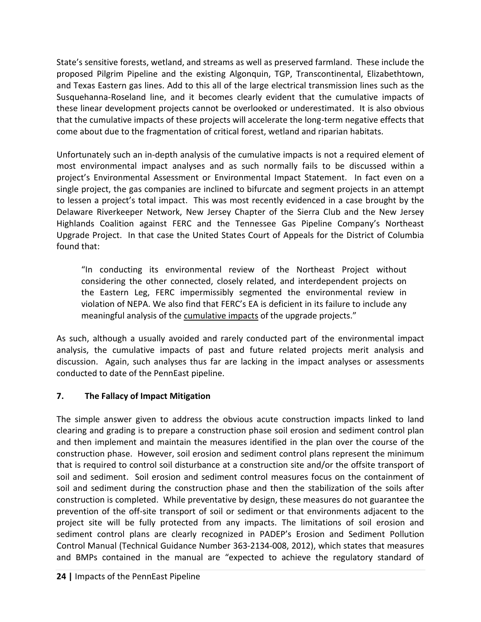State's sensitive forests, wetland, and streams as well as preserved farmland. These include the proposed Pilgrim Pipeline and the existing Algonquin, TGP, Transcontinental, Elizabethtown, and Texas Eastern gas lines. Add to this all of the large electrical transmission lines such as the Susquehanna-Roseland line, and it becomes clearly evident that the cumulative impacts of these linear development projects cannot be overlooked or underestimated. It is also obvious that the cumulative impacts of these projects will accelerate the long-term negative effects that come about due to the fragmentation of critical forest, wetland and riparian habitats.

Unfortunately such an in-depth analysis of the cumulative impacts is not a required element of most environmental impact analyses and as such normally fails to be discussed within a project's Environmental Assessment or Environmental Impact Statement. In fact even on a single project, the gas companies are inclined to bifurcate and segment projects in an attempt to lessen a project's total impact. This was most recently evidenced in a case brought by the Delaware Riverkeeper Network, New Jersey Chapter of the Sierra Club and the New Jersey Highlands Coalition against FERC and the Tennessee Gas Pipeline Company's Northeast Upgrade Project. In that case the United States Court of Appeals for the District of Columbia found that:

"In conducting its environmental review of the Northeast Project without considering the other connected, closely related, and interdependent projects on the Eastern Leg, FERC impermissibly segmented the environmental review in violation of NEPA. We also find that FERC's EA is deficient in its failure to include any meaningful analysis of the cumulative impacts of the upgrade projects."

As such, although a usually avoided and rarely conducted part of the environmental impact analysis, the cumulative impacts of past and future related projects merit analysis and discussion. Again, such analyses thus far are lacking in the impact analyses or assessments conducted to date of the PennEast pipeline.

#### **7. The Fallacy of Impact Mitigation**

The simple answer given to address the obvious acute construction impacts linked to land clearing and grading is to prepare a construction phase soil erosion and sediment control plan and then implement and maintain the measures identified in the plan over the course of the construction phase. However, soil erosion and sediment control plans represent the minimum that is required to control soil disturbance at a construction site and/or the offsite transport of soil and sediment. Soil erosion and sediment control measures focus on the containment of soil and sediment during the construction phase and then the stabilization of the soils after construction is completed. While preventative by design, these measures do not guarantee the prevention of the off-site transport of soil or sediment or that environments adjacent to the project site will be fully protected from any impacts. The limitations of soil erosion and sediment control plans are clearly recognized in PADEP's Erosion and Sediment Pollution Control Manual (Technical Guidance Number 363-2134-008, 2012), which states that measures and BMPs contained in the manual are "expected to achieve the regulatory standard of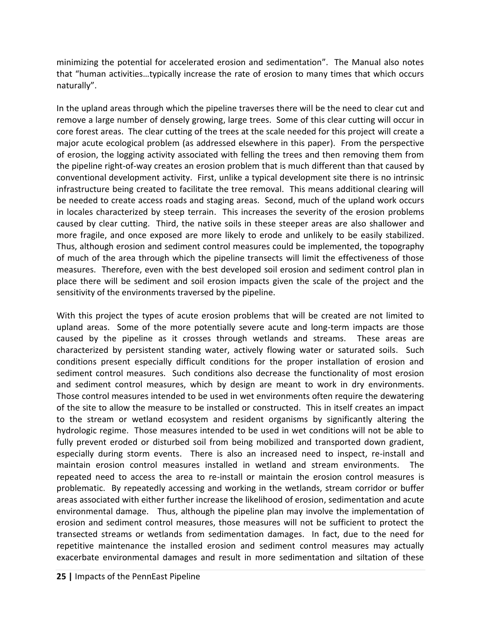minimizing the potential for accelerated erosion and sedimentation". The Manual also notes that "human activities…typically increase the rate of erosion to many times that which occurs naturally".

In the upland areas through which the pipeline traverses there will be the need to clear cut and remove a large number of densely growing, large trees. Some of this clear cutting will occur in core forest areas. The clear cutting of the trees at the scale needed for this project will create a major acute ecological problem (as addressed elsewhere in this paper). From the perspective of erosion, the logging activity associated with felling the trees and then removing them from the pipeline right-of-way creates an erosion problem that is much different than that caused by conventional development activity. First, unlike a typical development site there is no intrinsic infrastructure being created to facilitate the tree removal. This means additional clearing will be needed to create access roads and staging areas. Second, much of the upland work occurs in locales characterized by steep terrain. This increases the severity of the erosion problems caused by clear cutting. Third, the native soils in these steeper areas are also shallower and more fragile, and once exposed are more likely to erode and unlikely to be easily stabilized. Thus, although erosion and sediment control measures could be implemented, the topography of much of the area through which the pipeline transects will limit the effectiveness of those measures. Therefore, even with the best developed soil erosion and sediment control plan in place there will be sediment and soil erosion impacts given the scale of the project and the sensitivity of the environments traversed by the pipeline.

With this project the types of acute erosion problems that will be created are not limited to upland areas. Some of the more potentially severe acute and long-term impacts are those caused by the pipeline as it crosses through wetlands and streams. These areas are characterized by persistent standing water, actively flowing water or saturated soils. Such conditions present especially difficult conditions for the proper installation of erosion and sediment control measures. Such conditions also decrease the functionality of most erosion and sediment control measures, which by design are meant to work in dry environments. Those control measures intended to be used in wet environments often require the dewatering of the site to allow the measure to be installed or constructed. This in itself creates an impact to the stream or wetland ecosystem and resident organisms by significantly altering the hydrologic regime. Those measures intended to be used in wet conditions will not be able to fully prevent eroded or disturbed soil from being mobilized and transported down gradient, especially during storm events. There is also an increased need to inspect, re-install and maintain erosion control measures installed in wetland and stream environments. The repeated need to access the area to re-install or maintain the erosion control measures is problematic. By repeatedly accessing and working in the wetlands, stream corridor or buffer areas associated with either further increase the likelihood of erosion, sedimentation and acute environmental damage. Thus, although the pipeline plan may involve the implementation of erosion and sediment control measures, those measures will not be sufficient to protect the transected streams or wetlands from sedimentation damages. In fact, due to the need for repetitive maintenance the installed erosion and sediment control measures may actually exacerbate environmental damages and result in more sedimentation and siltation of these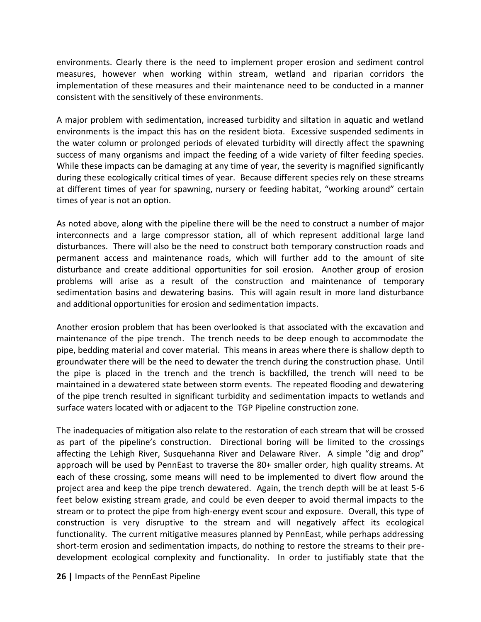environments. Clearly there is the need to implement proper erosion and sediment control measures, however when working within stream, wetland and riparian corridors the implementation of these measures and their maintenance need to be conducted in a manner consistent with the sensitively of these environments.

A major problem with sedimentation, increased turbidity and siltation in aquatic and wetland environments is the impact this has on the resident biota. Excessive suspended sediments in the water column or prolonged periods of elevated turbidity will directly affect the spawning success of many organisms and impact the feeding of a wide variety of filter feeding species. While these impacts can be damaging at any time of year, the severity is magnified significantly during these ecologically critical times of year. Because different species rely on these streams at different times of year for spawning, nursery or feeding habitat, "working around" certain times of year is not an option.

As noted above, along with the pipeline there will be the need to construct a number of major interconnects and a large compressor station, all of which represent additional large land disturbances. There will also be the need to construct both temporary construction roads and permanent access and maintenance roads, which will further add to the amount of site disturbance and create additional opportunities for soil erosion. Another group of erosion problems will arise as a result of the construction and maintenance of temporary sedimentation basins and dewatering basins. This will again result in more land disturbance and additional opportunities for erosion and sedimentation impacts.

Another erosion problem that has been overlooked is that associated with the excavation and maintenance of the pipe trench. The trench needs to be deep enough to accommodate the pipe, bedding material and cover material. This means in areas where there is shallow depth to groundwater there will be the need to dewater the trench during the construction phase. Until the pipe is placed in the trench and the trench is backfilled, the trench will need to be maintained in a dewatered state between storm events. The repeated flooding and dewatering of the pipe trench resulted in significant turbidity and sedimentation impacts to wetlands and surface waters located with or adjacent to the TGP Pipeline construction zone.

The inadequacies of mitigation also relate to the restoration of each stream that will be crossed as part of the pipeline's construction. Directional boring will be limited to the crossings affecting the Lehigh River, Susquehanna River and Delaware River. A simple "dig and drop" approach will be used by PennEast to traverse the 80+ smaller order, high quality streams. At each of these crossing, some means will need to be implemented to divert flow around the project area and keep the pipe trench dewatered. Again, the trench depth will be at least 5-6 feet below existing stream grade, and could be even deeper to avoid thermal impacts to the stream or to protect the pipe from high-energy event scour and exposure. Overall, this type of construction is very disruptive to the stream and will negatively affect its ecological functionality. The current mitigative measures planned by PennEast, while perhaps addressing short-term erosion and sedimentation impacts, do nothing to restore the streams to their predevelopment ecological complexity and functionality. In order to justifiably state that the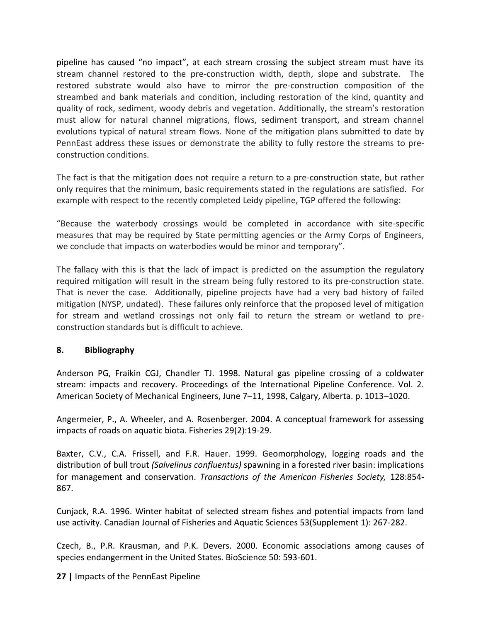pipeline has caused "no impact", at each stream crossing the subject stream must have its stream channel restored to the pre-construction width, depth, slope and substrate. The restored substrate would also have to mirror the pre-construction composition of the streambed and bank materials and condition, including restoration of the kind, quantity and quality of rock, sediment, woody debris and vegetation. Additionally, the stream's restoration must allow for natural channel migrations, flows, sediment transport, and stream channel evolutions typical of natural stream flows. None of the mitigation plans submitted to date by PennEast address these issues or demonstrate the ability to fully restore the streams to preconstruction conditions.

The fact is that the mitigation does not require a return to a pre-construction state, but rather only requires that the minimum, basic requirements stated in the regulations are satisfied. For example with respect to the recently completed Leidy pipeline, TGP offered the following:

"Because the waterbody crossings would be completed in accordance with site-specific measures that may be required by State permitting agencies or the Army Corps of Engineers, we conclude that impacts on waterbodies would be minor and temporary".

The fallacy with this is that the lack of impact is predicted on the assumption the regulatory required mitigation will result in the stream being fully restored to its pre-construction state. That is never the case. Additionally, pipeline projects have had a very bad history of failed mitigation (NYSP, undated). These failures only reinforce that the proposed level of mitigation for stream and wetland crossings not only fail to return the stream or wetland to preconstruction standards but is difficult to achieve.

#### **8. Bibliography**

Anderson PG, Fraikin CGJ, Chandler TJ. 1998. Natural gas pipeline crossing of a coldwater stream: impacts and recovery. Proceedings of the International Pipeline Conference. Vol. 2. American Society of Mechanical Engineers, June 7–11, 1998, Calgary, Alberta. p. 1013–1020.

Angermeier, P., A. Wheeler, and A. Rosenberger. 2004. A conceptual framework for assessing impacts of roads on aquatic biota. Fisheries 29(2):19-29.

Baxter, C.V., C.A. Frissell, and F.R. Hauer. 1999. Geomorphology, logging roads and the distribution of bull trout *(Salvelinus confluentus)* spawning in a forested river basin: implications for management and conservation. *Transactions of the American Fisheries Society,* 128:854- 867.

Cunjack, R.A. 1996. Winter habitat of selected stream fishes and potential impacts from land use activity. Canadian Journal of Fisheries and Aquatic Sciences 53(Supplement 1): 267-282.

Czech, B., P.R. Krausman, and P.K. Devers. 2000. Economic associations among causes of species endangerment in the United States. BioScience 50: 593-601.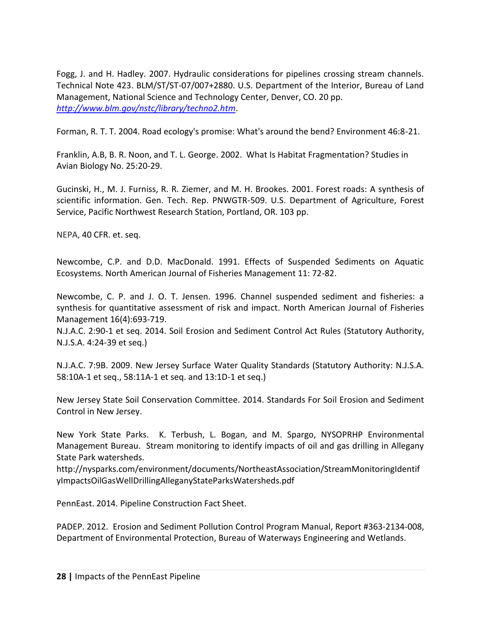Fogg, J. and H. Hadley. 2007. Hydraulic considerations for pipelines crossing stream channels. Technical Note 423. BLM/ST/ST-07/007+2880. U.S. Department of the Interior, Bureau of Land Management, National Science and Technology Center, Denver, CO. 20 pp. *<http://www.blm.gov/nstc/library/techno2.htm>*.

Forman, R. T. T. 2004. Road ecology's promise: What's around the bend? Environment 46:8-21.

Franklin, A.B, B. R. Noon, and T. L. George. 2002. What Is Habitat Fragmentation? Studies in Avian Biology No. 25:20-29.

Gucinski, H., M. J. Furniss, R. R. Ziemer, and M. H. Brookes. 2001. Forest roads: A synthesis of scientific information. Gen. Tech. Rep. PNWGTR-509. U.S. Department of Agriculture, Forest Service, Pacific Northwest Research Station, Portland, OR. 103 pp.

NEPA, 40 CFR. et. seq.

Newcombe, C.P. and D.D. MacDonald. 1991. Effects of Suspended Sediments on Aquatic Ecosystems. North American Journal of Fisheries Management 11: 72-82.

Newcombe, C. P. and J. O. T. Jensen. 1996. Channel suspended sediment and fisheries: a synthesis for quantitative assessment of risk and impact. North American Journal of Fisheries Management 16(4):693-719.

N.J.A.C. 2:90-1 et seq. 2014. Soil Erosion and Sediment Control Act Rules (Statutory Authority, N.J.S.A. 4:24-39 et seq.)

N.J.A.C. 7:9B. 2009. New Jersey Surface Water Quality Standards (Statutory Authority: N.J.S.A. 58:10A-1 et seq., 58:11A-1 et seq. and 13:1D-1 et seq.)

New Jersey State Soil Conservation Committee. 2014. Standards For Soil Erosion and Sediment Control in New Jersey.

New York State Parks. K. Terbush, L. Bogan, and M. Spargo, NYSOPRHP Environmental Management Bureau. Stream monitoring to identify impacts of oil and gas drilling in Allegany State Park watersheds.

http://nysparks.com/environment/documents/NortheastAssociation/StreamMonitoringIdentif yImpactsOilGasWellDrillingAlleganyStateParksWatersheds.pdf

PennEast. 2014. Pipeline Construction Fact Sheet.

PADEP. 2012. Erosion and Sediment Pollution Control Program Manual, Report #363-2134-008, Department of Environmental Protection, Bureau of Waterways Engineering and Wetlands.